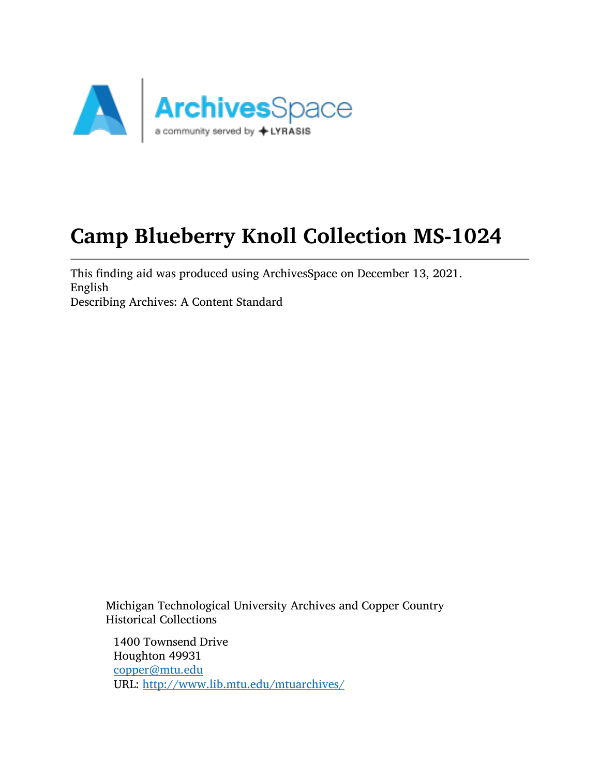

# Camp Blueberry Knoll Collection MS-1024

This finding aid was produced using ArchivesSpace on December 13, 2021. English Describing Archives: A Content Standard

Michigan Technological University Archives and Copper Country Historical Collections

1400 Townsend Drive Houghton 49931 [copper@mtu.edu](mailto:copper@mtu.edu) URL: <http://www.lib.mtu.edu/mtuarchives/>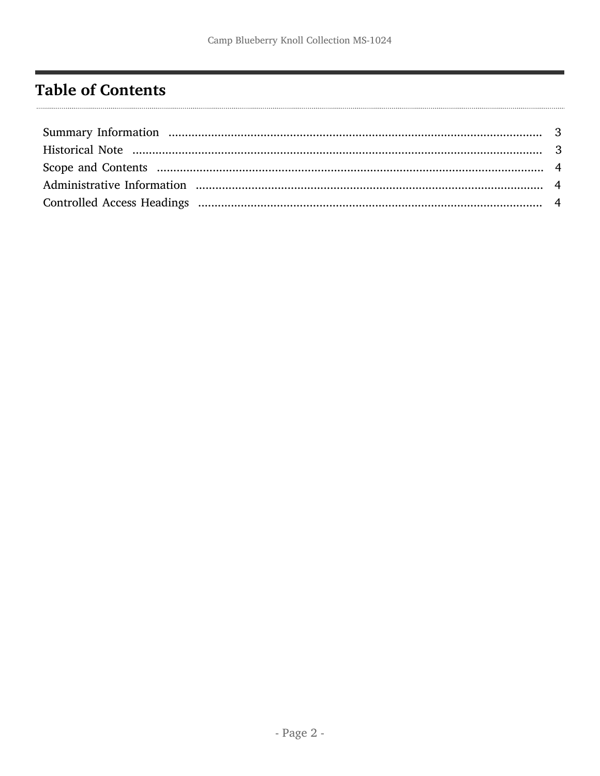# <span id="page-1-0"></span>**Table of Contents**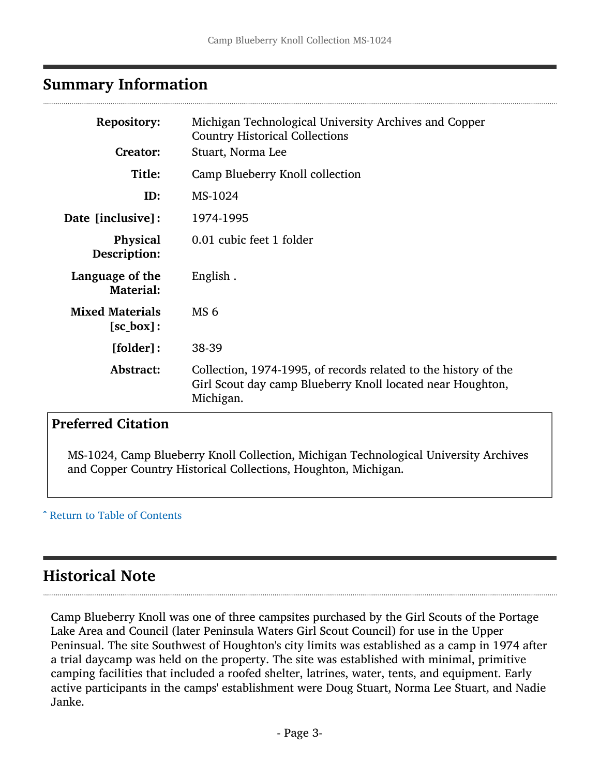### <span id="page-2-0"></span>Summary Information

| <b>Repository:</b><br>Creator:                | Michigan Technological University Archives and Copper<br><b>Country Historical Collections</b><br>Stuart, Norma Lee                        |
|-----------------------------------------------|--------------------------------------------------------------------------------------------------------------------------------------------|
| Title:                                        | Camp Blueberry Knoll collection                                                                                                            |
| ID:                                           | MS-1024                                                                                                                                    |
| Date [inclusive]:                             | 1974-1995                                                                                                                                  |
| <b>Physical</b><br>Description:               | 0.01 cubic feet 1 folder                                                                                                                   |
| Language of the<br>Material:                  | English.                                                                                                                                   |
| <b>Mixed Materials</b><br>$[sc_{\theta}box]:$ | MS <sub>6</sub>                                                                                                                            |
| [folder]:                                     | 38-39                                                                                                                                      |
| Abstract:                                     | Collection, 1974-1995, of records related to the history of the<br>Girl Scout day camp Blueberry Knoll located near Houghton,<br>Michigan. |

### Preferred Citation

MS-1024, Camp Blueberry Knoll Collection, Michigan Technological University Archives and Copper Country Historical Collections, Houghton, Michigan.

#### ^ [Return to Table of Contents](#page-1-0)

### <span id="page-2-1"></span>Historical Note

Camp Blueberry Knoll was one of three campsites purchased by the Girl Scouts of the Portage Lake Area and Council (later Peninsula Waters Girl Scout Council) for use in the Upper Peninsual. The site Southwest of Houghton's city limits was established as a camp in 1974 after a trial daycamp was held on the property. The site was established with minimal, primitive camping facilities that included a roofed shelter, latrines, water, tents, and equipment. Early active participants in the camps' establishment were Doug Stuart, Norma Lee Stuart, and Nadie Janke.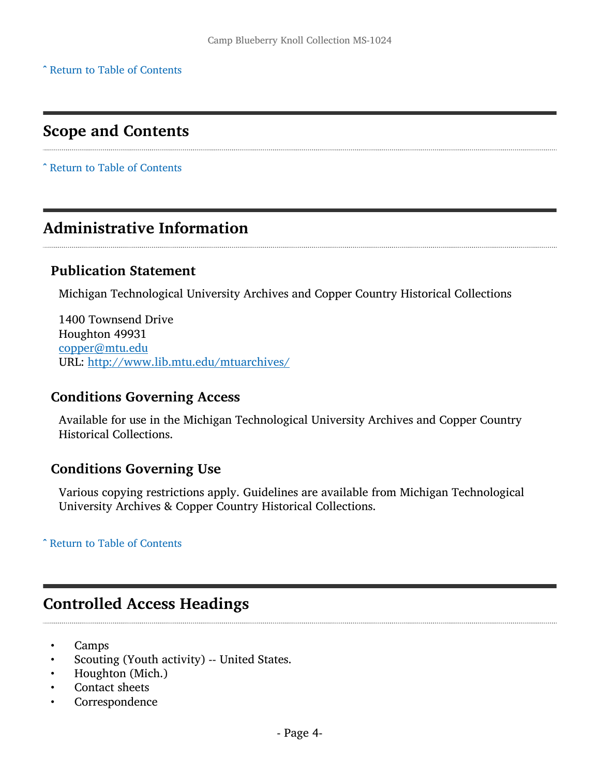^ [Return to Table of Contents](#page-1-0)

## <span id="page-3-0"></span>Scope and Contents

^ [Return to Table of Contents](#page-1-0)

### <span id="page-3-1"></span>Administrative Information

### Publication Statement

Michigan Technological University Archives and Copper Country Historical Collections

1400 Townsend Drive Houghton 49931 [copper@mtu.edu](mailto:copper@mtu.edu) URL: <http://www.lib.mtu.edu/mtuarchives/>

#### Conditions Governing Access

Available for use in the Michigan Technological University Archives and Copper Country Historical Collections.

### Conditions Governing Use

Various copying restrictions apply. Guidelines are available from Michigan Technological University Archives & Copper Country Historical Collections.

#### ^ [Return to Table of Contents](#page-1-0)

### <span id="page-3-2"></span>Controlled Access Headings

- Camps
- Scouting (Youth activity) -- United States.
- Houghton (Mich.)
- Contact sheets
- **Correspondence**